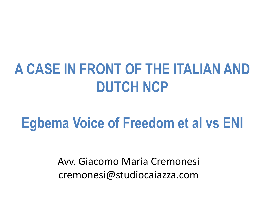#### **A CASE IN FRONT OF THE ITALIAN AND DUTCH NCP**

#### **Egbema Voice of Freedom et al vs ENI**

Avv. Giacomo Maria Cremonesi cremonesi@studiocaiazza.com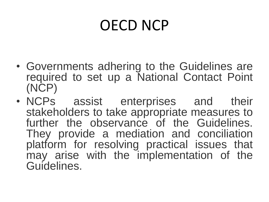#### OECD NCP

- Governments adhering to the Guidelines are required to set up a National Contact Point (NCP)
- NCPs assist enterprises and their stakeholders to take appropriate measures to further the observance of the Guidelines. They provide a mediation and conciliation platform for resolving practical issues that may arise with the implementation of the Guidelines.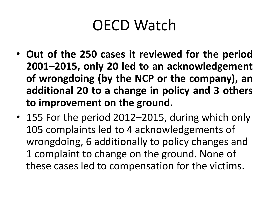#### OECD Watch

- **Out of the 250 cases it reviewed for the period 2001–2015, only 20 led to an acknowledgement of wrongdoing (by the NCP or the company), an additional 20 to a change in policy and 3 others to improvement on the ground.**
- 155 For the period 2012–2015, during which only 105 complaints led to 4 acknowledgements of wrongdoing, 6 additionally to policy changes and 1 complaint to change on the ground. None of these cases led to compensation for the victims.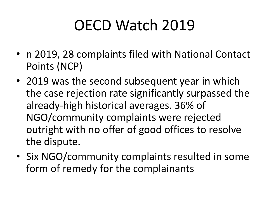#### OECD Watch 2019

- n 2019, 28 complaints filed with National Contact Points (NCP)
- 2019 was the second subsequent year in which the case rejection rate significantly surpassed the already-high historical averages. 36% of NGO/community complaints were rejected outright with no offer of good offices to resolve the dispute.
- Six NGO/community complaints resulted in some form of remedy for the complainants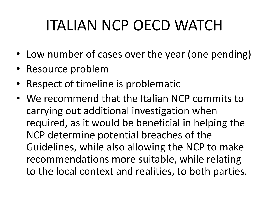#### ITALIAN NCP OECD WATCH

- Low number of cases over the year (one pending)
- Resource problem
- Respect of timeline is problematic
- We recommend that the Italian NCP commits to carrying out additional investigation when required, as it would be beneficial in helping the NCP determine potential breaches of the Guidelines, while also allowing the NCP to make recommendations more suitable, while relating to the local context and realities, to both parties.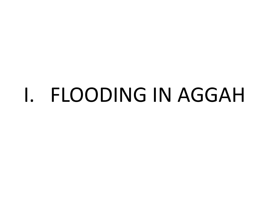I. FLOODING IN AGGAH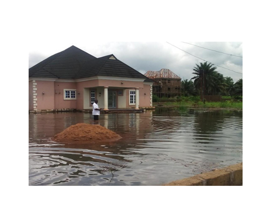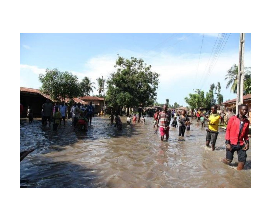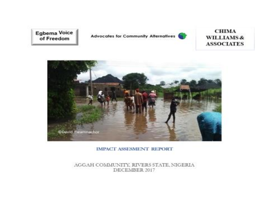#### **Egbema Voice** of Freedom

Advocates for Community Alternatives



CHIMA WILLIAMS & **ASSOCIATES** 



**IMPACT ASSESMENT REPORT** 

AGGAH COMMUNITY, RIVERS STATE, NIGERIA DECEMBER 2017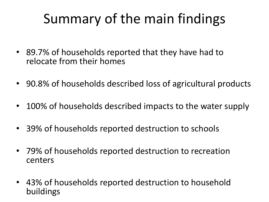#### Summary of the main findings

- 89.7% of households reported that they have had to relocate from their homes
- 90.8% of households described loss of agricultural products
- 100% of households described impacts to the water supply
- 39% of households reported destruction to schools
- 79% of households reported destruction to recreation centers
- 43% of households reported destruction to household buildings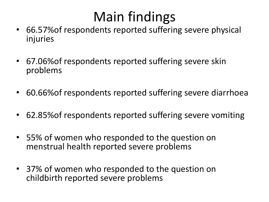#### Main findings

- 66.57%of respondents reported suffering severe physical injuries
- 67.06%of respondents reported suffering severe skin problems
- 60.66%of respondents reported suffering severe diarrhoea
- 62.85%of respondents reported suffering severe vomiting
- 55% of women who responded to the question on menstrual health reported severe problems
- 37% of women who responded to the question on childbirth reported severe problems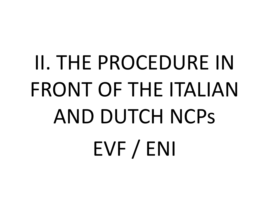# II. THE PROCEDURE IN FRONT OF THE ITALIAN AND DUTCH NCPs EVF / ENI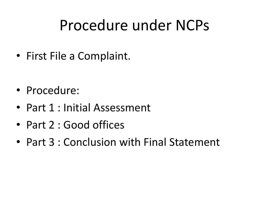#### Procedure under NCPs

• First File a Complaint.

- Procedure:
- Part 1 : Initial Assessment
- Part 2 : Good offices
- Part 3 : Conclusion with Final Statement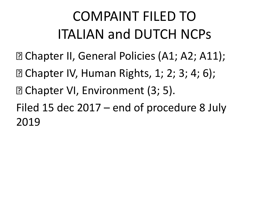#### COMPAINT FILED TO ITALIAN and DUTCH NCPs

- **E Chapter II, General Policies (A1; A2; A11);**
- Chapter IV, Human Rights, 1; 2; 3; 4; 6);
- **E Chapter VI, Environment (3; 5).**
- Filed 15 dec 2017 end of procedure 8 July 2019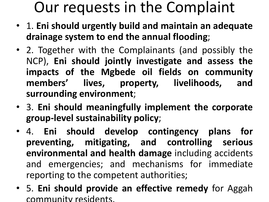#### Our requests in the Complaint

- 1. **Eni should urgently build and maintain an adequate drainage system to end the annual flooding**;
- 2. Together with the Complainants (and possibly the NCP), **Eni should jointly investigate and assess the impacts of the Mgbede oil fields on community members' lives, property, livelihoods, and surrounding environment**;
- 3. **Eni should meaningfully implement the corporate group-level sustainability policy**;
- 4. **Eni should develop contingency plans for preventing, mitigating, and controlling serious environmental and health damage** including accidents and emergencies; and mechanisms for immediate reporting to the competent authorities;
- 5. **Eni should provide an effective remedy** for Aggah community residents.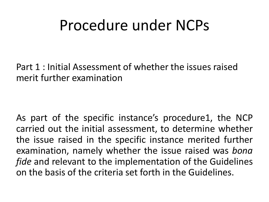#### Procedure under NCPs

Part 1 : Initial Assessment of whether the issues raised merit further examination

As part of the specific instance's procedure1, the NCP carried out the initial assessment, to determine whether the issue raised in the specific instance merited further examination, namely whether the issue raised was *bona fide* and relevant to the implementation of the Guidelines on the basis of the criteria set forth in the Guidelines.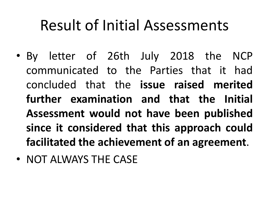#### Result of Initial Assessments

- By letter of 26th July 2018 the NCP communicated to the Parties that it had concluded that the **issue raised merited further examination and that the Initial Assessment would not have been published since it considered that this approach could facilitated the achievement of an agreement**.
- NOT ALWAYS THE CASE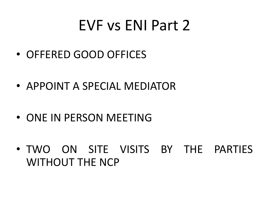#### EVF vs ENI Part 2

- OFFERED GOOD OFFICES
- APPOINT A SPECIAL MEDIATOR
- ONE IN PERSON MEETING
- TWO ON SITE VISITS BY THE PARTIES WITHOUT THE NCP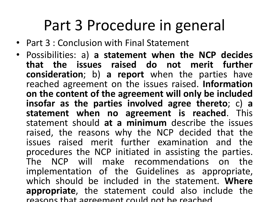#### Part 3 Procedure in general

- Part 3 : Conclusion with Final Statement
- Possibilities: a) **a statement when the NCP decides that the issues raised do not merit further consideration**; b) **a report** when the parties have reached agreement on the issues raised. **Information on the content of the agreement will only be included insofar as the parties involved agree thereto**; c) **a statement when no agreement is reached**. This statement should **at a minimum** describe the issues raised, the reasons why the NCP decided that the issues raised merit further examination and the procedures the NCP initiated in assisting the parties. The NCP will make recommendations on the implementation of the Guidelines as appropriate, which should be included in the statement. **Where appropriate**, the statement could also include the reasons that agreement could not be reached.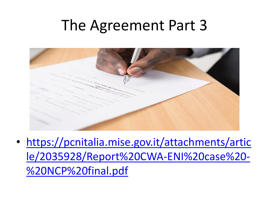#### The Agreement Part 3



• https://pcnitalia.mise.gov.it/attachments/artic [le/2035928/Report%20CWA-ENI%20case%20-](https://pcnitalia.mise.gov.it/attachments/article/2035928/Report%20CWA-ENI%20case%20-%20NCP%20final.pdf) %20NCP%20final.pdf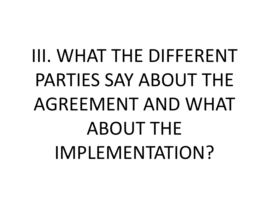## III. WHAT THE DIFFERENT PARTIES SAY ABOUT THE AGREEMENT AND WHAT ABOUT THE IMPLEMENTATION?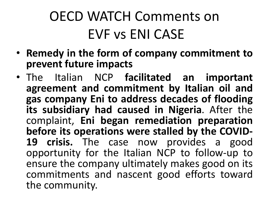#### OECD WATCH Comments on EVF vs ENI CASE

- **Remedy in the form of company commitment to prevent future impacts**
- The Italian NCP **facilitated an important agreement and commitment by Italian oil and gas company Eni to address decades of flooding its subsidiary had caused in Nigeria**. After the complaint, **Eni began remediation preparation before its operations were stalled by the COVID-19 crisis.** The case now provides a good opportunity for the Italian NCP to follow-up to ensure the company ultimately makes good on its commitments and nascent good efforts toward the community.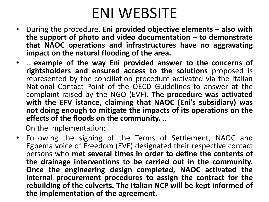#### ENI WEBSITE

- During the procedure, **Eni provided objective elements – also with the support of photo and video documentation – to demonstrate that NAOC operations and infrastructures have no aggravating impact on the natural flooding of the area.**
- .. **example of the way Eni provided answer to the concerns of rightsholders and ensured access to the solutions** proposed is represented by the conciliation procedure activated via the Italian National Contact Point of the OECD Guidelines to answer at the complaint raised by the NGO (EVF). **The procedure was activated with the EFV istance, claiming that NAOC (Eni's subsidiary) was not doing enough to mitigate the impacts of its operations on the effects of the floods on the community.** ..

On the implementation:

• Following the signing of the Terms of Settlement, NAOC and Egbema voice of Freedom (EVF) designated their respective contact persons who **met several times in order to define the contents of the drainage interventions to be carried out in the community. Once the engineering design completed, NAOC activated the internal procurement procedures to assign the contract for the rebuilding of the culverts. The Italian NCP will be kept informed of the implementation of the agreement.**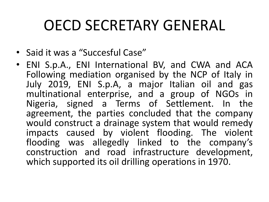#### OECD SECRETARY GENERAL

- Said it was a "Succesful Case"
- ENI S.p.A., ENI International BV, and CWA and ACA Following mediation organised by the NCP of Italy in July 2019, ENI S.p.A, a major Italian oil and gas multinational enterprise, and a group of NGOs in Nigeria, signed a Terms of Settlement. In the agreement, the parties concluded that the company would construct a drainage system that would remedy impacts caused by violent flooding. The violent flooding was allegedly linked to the company's construction and road infrastructure development, which supported its oil drilling operations in 1970.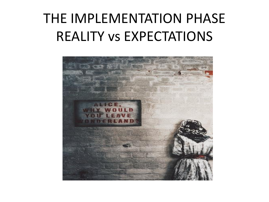#### THE IMPLEMENTATION PHASE REALITY vs EXPECTATIONS

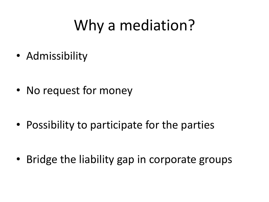#### Why a mediation?

• Admissibility

• No request for money

• Possibility to participate for the parties

• Bridge the liability gap in corporate groups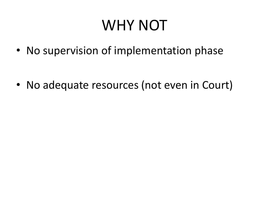#### WHY NOT

• No supervision of implementation phase

• No adequate resources (not even in Court)